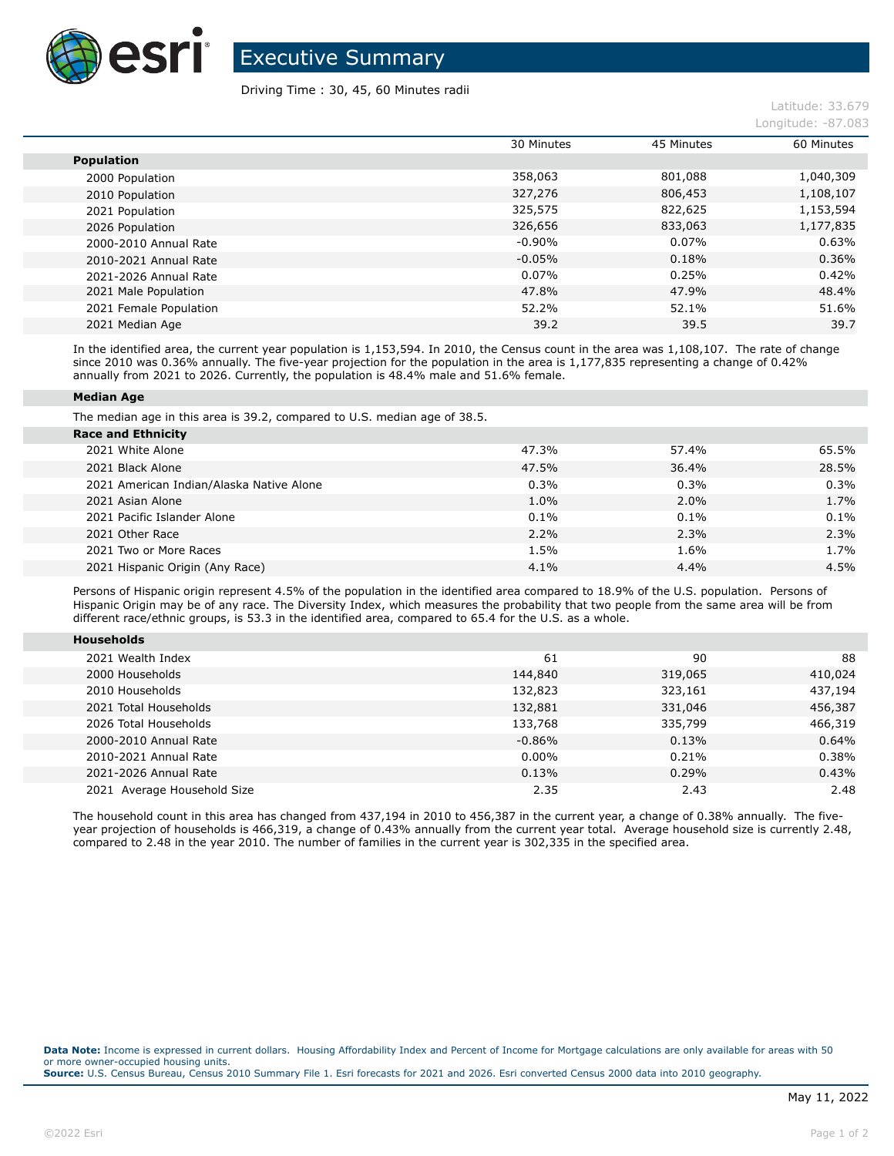

Executive Summary

## Driving Time : 30, 45, 60 Minutes radii

|                        | 30 Minutes | 45 Minutes | 60 Minutes |
|------------------------|------------|------------|------------|
| <b>Population</b>      |            |            |            |
| 2000 Population        | 358,063    | 801,088    | 1,040,309  |
| 2010 Population        | 327,276    | 806,453    | 1,108,107  |
| 2021 Population        | 325,575    | 822,625    | 1,153,594  |
| 2026 Population        | 326,656    | 833,063    | 1,177,835  |
| 2000-2010 Annual Rate  | $-0.90%$   | 0.07%      | 0.63%      |
| 2010-2021 Annual Rate  | $-0.05%$   | 0.18%      | 0.36%      |
| 2021-2026 Annual Rate  | $0.07\%$   | 0.25%      | 0.42%      |
| 2021 Male Population   | 47.8%      | 47.9%      | 48.4%      |
| 2021 Female Population | 52.2%      | 52.1%      | 51.6%      |
| 2021 Median Age        | 39.2       | 39.5       | 39.7       |

In the identified area, the current year population is 1,153,594. In 2010, the Census count in the area was 1,108,107. The rate of change since 2010 was 0.36% annually. The five-year projection for the population in the area is 1,177,835 representing a change of 0.42% annually from 2021 to 2026. Currently, the population is 48.4% male and 51.6% female.

## **Median Age**

The median age in this area is 39.2, compared to U.S. median age of 38.5.

| <b>Race and Ethnicity</b>                |       |         |       |
|------------------------------------------|-------|---------|-------|
| 2021 White Alone                         | 47.3% | 57.4%   | 65.5% |
| 2021 Black Alone                         | 47.5% | 36.4%   | 28.5% |
| 2021 American Indian/Alaska Native Alone | 0.3%  | $0.3\%$ | 0.3%  |
| 2021 Asian Alone                         | 1.0%  | 2.0%    | 1.7%  |
| 2021 Pacific Islander Alone              | 0.1%  | $0.1\%$ | 0.1%  |
| 2021 Other Race                          | 2.2%  | 2.3%    | 2.3%  |
| 2021 Two or More Races                   | 1.5%  | 1.6%    | 1.7%  |
| 2021 Hispanic Origin (Any Race)          | 4.1%  | 4.4%    | 4.5%  |

Persons of Hispanic origin represent 4.5% of the population in the identified area compared to 18.9% of the U.S. population. Persons of Hispanic Origin may be of any race. The Diversity Index, which measures the probability that two people from the same area will be from different race/ethnic groups, is 53.3 in the identified area, compared to 65.4 for the U.S. as a whole.

| <b>Households</b>           |          |         |         |
|-----------------------------|----------|---------|---------|
| 2021 Wealth Index           | 61       | 90      | 88      |
| 2000 Households             | 144,840  | 319,065 | 410,024 |
| 2010 Households             | 132,823  | 323,161 | 437,194 |
| 2021 Total Households       | 132,881  | 331,046 | 456,387 |
| 2026 Total Households       | 133,768  | 335,799 | 466,319 |
| 2000-2010 Annual Rate       | $-0.86%$ | 0.13%   | 0.64%   |
| 2010-2021 Annual Rate       | $0.00\%$ | 0.21%   | 0.38%   |
| 2021-2026 Annual Rate       | 0.13%    | 0.29%   | 0.43%   |
| 2021 Average Household Size | 2.35     | 2.43    | 2.48    |

The household count in this area has changed from 437,194 in 2010 to 456,387 in the current year, a change of 0.38% annually. The fiveyear projection of households is 466,319, a change of 0.43% annually from the current year total. Average household size is currently 2.48, compared to 2.48 in the year 2010. The number of families in the current year is 302,335 in the specified area.

**Data Note:** Income is expressed in current dollars. Housing Affordability Index and Percent of Income for Mortgage calculations are only available for areas with 50 or more owner-occupied housing units. **Source:** U.S. Census Bureau, Census 2010 Summary File 1. Esri forecasts for 2021 and 2026. Esri converted Census 2000 data into 2010 geography.